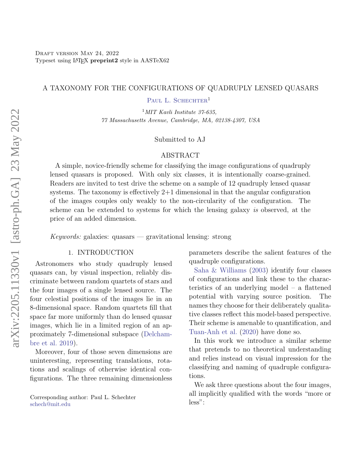#### A TAXONOMY FOR THE CONFIGURATIONS OF QUADRUPLY LENSED QUASARS

PAUL L. SCHECHTER<sup>1</sup>

 $1$ MIT Kavli Institute 37-635, 77 Massachusetts Avenue, Cambridge, MA, 02138-4307, USA

## Submitted to AJ

#### ABSTRACT

A simple, novice-friendly scheme for classifying the image configurations of quadruply lensed quasars is proposed. With only six classes, it is intentionally coarse-grained. Readers are invited to test drive the scheme on a sample of 12 quadruply lensed quasar systems. The taxonomy is effectively  $2+1$  dimensional in that the angular configuration of the images couples only weakly to the non-circularity of the configuration. The scheme can be extended to systems for which the lensing galaxy is observed, at the price of an added dimension.

Keywords: galaxies: quasars — gravitational lensing: strong

#### 1. INTRODUCTION

<span id="page-0-0"></span>Astronomers who study quadruply lensed quasars can, by visual inspection, reliably discriminate between random quartets of stars and the four images of a single lensed source. The four celestial positions of the images lie in an 8-dimensional space. Random quartets fill that space far more uniformly than do lensed quasar images, which lie in a limited region of an approximately 7-dimensional subspace [\(Delcham](#page-4-0)[bre et al.](#page-4-0) [2019\)](#page-4-0).

Moreover, four of those seven dimensions are uninteresting, representing translations, rotations and scalings of otherwise identical configurations. The three remaining dimensionless

Corresponding author: Paul L. Schechter [schech@mit.edu](mailto: schech@mit.edu)

parameters describe the salient features of the quadruple configurations.

[Saha & Williams](#page-5-0) [\(2003\)](#page-5-0) identify four classes of configurations and link these to the characteristics of an underlying model – a flattened potential with varying source position. The names they choose for their deliberately qualitative classes reflect this model-based perspective. Their scheme is amenable to quantification, and [Tuan-Anh et al.](#page-5-1) [\(2020\)](#page-5-1) have done so.

In this work we introduce a similar scheme that pretends to no theoretical understanding and relies instead on visual impression for the classifying and naming of quadruple configurations.

We ask three questions about the four images, all implicitly qualified with the words "more or less":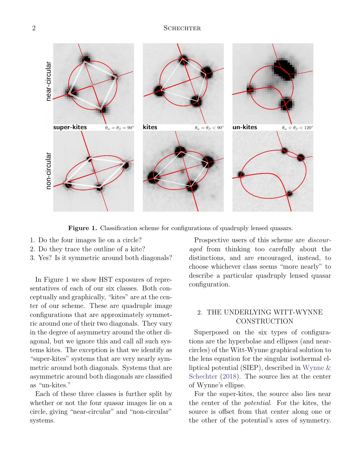

Figure 1. Classification scheme for configurations of quadruply lensed quasars.

- 1. Do the four images lie on a circle?
- 2. Do they trace the outline of a kite?
- 3. Yes? Is it symmetric around both diagonals?

In Figure 1 we show HST exposures of representatives of each of our six classes. Both conceptually and graphically, "kites" are at the center of our scheme. These are quadruple image configurations that are approximately symmetric around one of their two diagonals. They vary in the degree of asymmetry around the other diagonal, but we ignore this and call all such systems kites. The exception is that we identify as "super-kites" systems that are very nearly symmetric around both diagonals. Systems that are asymmetric around both diagonals are classified as "un-kites."

Each of these three classes is further split by whether or not the four quasar images lie on a circle, giving "near-circular" and "non-circular" systems.

Prospective users of this scheme are discouraged from thinking too carefully about the distinctions, and are encouraged, instead, to choose whichever class seems "more nearly" to describe a particular quadruply lensed quasar configuration.

# 2. THE UNDERLYING WITT-WYNNE **CONSTRUCTION**

Superposed on the six types of configurations are the hyperbolae and ellipses (and nearcircles) of the Witt-Wynne graphical solution to the lens equation for the singular isothermal elliptical potential (SIEP), described in [Wynne &](#page-5-2) [Schechter](#page-5-2) [\(2018\)](#page-5-2). The source lies at the center of Wynne's ellipse.

For the super-kites, the source also lies near the center of the potential. For the kites, the source is offset from that center along one or the other of the potential's axes of symmetry.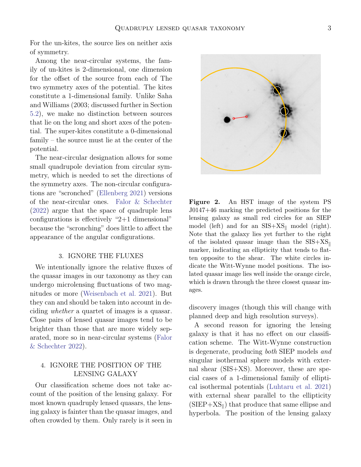For the un-kites, the source lies on neither axis of symmetry.

Among the near-circular systems, the family of un-kites is 2-dimensional, one dimension for the offset of the source from each of The two symmetry axes of the potential. The kites constitute a 1-dimensional family. Unlike Saha and Williams (2003; discussed further in Section [5.2\)](#page-4-1), we make no distinction between sources that lie on the long and short axes of the potential. The super-kites constitute a 0-dimensional family – the source must lie at the center of the potential.

The near-circular designation allows for some small quadrupole deviation from circular symmetry, which is needed to set the directions of the symmetry axes. The non-circular configurations are "scronched" [\(Ellenberg](#page-4-2) [2021\)](#page-4-2) versions of the near-circular ones. [Falor & Schechter](#page-5-3) [\(2022\)](#page-5-3) argue that the space of quadruple lens configurations is effectively "2+1 dimensional" because the "scronching" does little to affect the appearance of the angular configurations.

### 3. IGNORE THE FLUXES

We intentionally ignore the relative fluxes of the quasar images in our taxonomy as they can undergo microlensing fluctuations of two magnitudes or more [\(Weisenbach et al.](#page-5-4) [2021\)](#page-5-4). But they can and should be taken into account in deciding whether a quartet of images is a quasar. Close pairs of lensed quasar images tend to be brighter than those that are more widely separated, more so in near-circular systems [\(Falor](#page-5-3) [& Schechter](#page-5-3) [2022\)](#page-5-3).

# 4. IGNORE THE POSITION OF THE LENSING GALAXY

Our classification scheme does not take account of the position of the lensing galaxy. For most known quadruply lensed quasars, the lensing galaxy is fainter than the quasar images, and often crowded by them. Only rarely is it seen in



Figure 2. An HST image of the system PS J0147+46 marking the predicted positions for the lensing galaxy as small red circles for an SIEP model (left) and for an  $SIS+XS_{\parallel}$  model (right). Note that the galaxy lies yet further to the right of the isolated quasar image than the  $SIS+XS_{\parallel}$ marker, indicating an ellipticity that tends to flatten opposite to the shear. The white circles indicate the Witt-Wynne model positions. The isolated quasar image lies well inside the orange circle, which is drawn through the three closest quasar images.

<span id="page-2-0"></span>discovery images (though this will change with planned deep and high resolution surveys).

A second reason for ignoring the lensing galaxy is that it has no effect on our classification scheme. The Witt-Wynne construction is degenerate, producing both SIEP models and singular isothermal sphere models with external shear (SIS+XS). Moreover, these are special cases of a 1-dimensional family of elliptical isothermal potentials [\(Luhtaru et al.](#page-5-5) [2021\)](#page-5-5) with external shear parallel to the ellipticity  $(SIEP+XS_{\parallel})$  that produce that same ellipse and hyperbola. The position of the lensing galaxy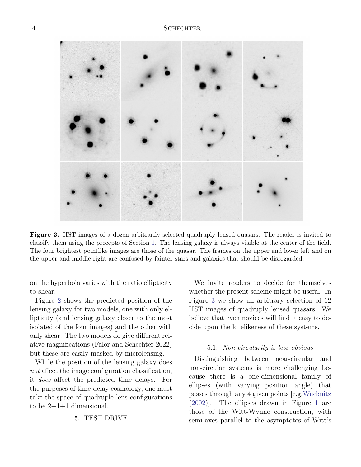

Figure 3. HST images of a dozen arbitrarily selected quadruply lensed quasars. The reader is invited to classify them using the precepts of Section [1.](#page-0-0) The lensing galaxy is always visible at the center of the field. The four brightest pointlike images are those of the quasar. The frames on the upper and lower left and on the upper and middle right are confused by fainter stars and galaxies that should be disregarded.

<span id="page-3-0"></span>on the hyperbola varies with the ratio ellipticity to shear.

Figure [2](#page-2-0) shows the predicted position of the lensing galaxy for two models, one with only ellipticity (and lensing galaxy closer to the most isolated of the four images) and the other with only shear. The two models do give different rel ative magnifications (Falor and Schechter 2022) but these are easily masked by microlensing.

While the position of the lensing galaxy does not affect the image configuration classification, it does affect the predicted time delays. For the purposes of time-delay cosmology, one must take the space of quadruple lens configurations to be  $2+1+1$  dimensional.

5. TEST DRIVE

We invite readers to decide for themselves whether the present scheme might be useful. In Figure [3](#page-3-0) we show an arbitrary selection of 12 HST images of quadruply lensed quasars. We believe that even novices will find it easy to decide upon the kitelikeness of these systems.

#### 5.1. Non-circularity is less obvious

Distinguishing between near-circular and non-circular systems is more challenging because there is a one-dimensional family of ellipses (with varying position angle) that passes through any 4 given points [e.g[.Wucknitz](#page-5-6) [\(2002\)](#page-5-6)]. The ellipses drawn in Figure [1](#page-0-0) are those of the Witt-Wynne construction, with semi-axes parallel to the asymptotes of Witt's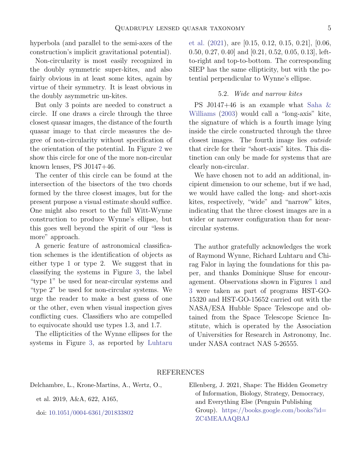hyperbola (and parallel to the semi-axes of the construction's implicit gravitational potential).

Non-circularity is most easily recognized in the doubly symmetric super-kites, and also fairly obvious in at least some kites, again by virtue of their symmetry. It is least obvious in the doubly asymmetric un-kites.

But only 3 points are needed to construct a circle. If one draws a circle through the three closest quasar images, the distance of the fourth quasar image to that circle measures the degree of non-circularity without specification of the orientation of the potential. In Figure [2](#page-2-0) we show this circle for one of the more non-circular known lenses, PS  $J0147+46$ .

The center of this circle can be found at the intersection of the bisectors of the two chords formed by the three closest images, but for the present purpose a visual estimate should suffice. One might also resort to the full Witt-Wynne construction to produce Wynne's ellipse, but this goes well beyond the spirit of our "less is more" approach.

A generic feature of astronomical classification schemes is the identification of objects as either type 1 or type 2. We suggest that in classifying the systems in Figure [3,](#page-3-0) the label "type 1" be used for near-circular systems and "type 2" be used for non-circular systems. We urge the reader to make a best guess of one or the other, even when visual inspection gives conflicting cues. Classifiers who are compelled to equivocate should use types 1.3, and 1.7.

The ellipticities of the Wynne ellipses for the systems in Figure [3,](#page-3-0) as reported by [Luhtaru](#page-5-5)

[et al.](#page-5-5) [\(2021\)](#page-5-5), are [0.15, 0.12, 0.15, 0.21], [0.06, 0.50, 0.27, 0.40] and [0.21, 0.52, 0.05, 0.13], leftto-right and top-to-bottom. The corresponding SIEP has the same ellipticity, but with the potential perpendicular to Wynne's ellipse.

## 5.2. Wide and narrow kites

<span id="page-4-1"></span>PS J0147+46 is an example what [Saha &](#page-5-0) [Williams](#page-5-0) [\(2003\)](#page-5-0) would call a "long-axis" kite, the signature of which is a fourth image lying inside the circle constructed through the three closest images. The fourth image lies outside that circle for their "short-axis" kites. This distinction can only be made for systems that are clearly non-circular.

We have chosen not to add an additional, incipient dimension to our scheme, but if we had, we would have called the long- and short-axis kites, respectively, "wide" and "narrow" kites, indicating that the three closest images are in a wider or narrower configuration than for nearcircular systems.

The author gratefully acknowledges the work of Raymond Wynne, Richard Luhtaru and Chirag Falor in laying the foundations for this paper, and thanks Dominique Sluse for encouragement. Observations shown in Figures [1](#page-0-0) and [3](#page-3-0) were taken as part of programs HST-GO-15320 and HST-GO-15652 carried out with the NASA/ESA Hubble Space Telescope and obtained from the Space Telescope Science Institute, which is operated by the Association of Universities for Research in Astronomy, Inc. under NASA contract NAS 5-26555.

### REFERENCES

<span id="page-4-0"></span>Delchambre, L., Krone-Martins, A., Wertz, O.,

et al. 2019, A&A, 622, A165,

doi: [10.1051/0004-6361/201833802](http://doi.org/10.1051/0004-6361/201833802)

<span id="page-4-2"></span>Ellenberg, J. 2021, Shape: The Hidden Geometry of Information, Biology, Strategy, Democracy, and Everything Else (Penguin Publishing Group). [https://books.google.com/books?id=](https://books.google.com/books?id=ZC4MEAAAQBAJ) [ZC4MEAAAQBAJ](https://books.google.com/books?id=ZC4MEAAAQBAJ)